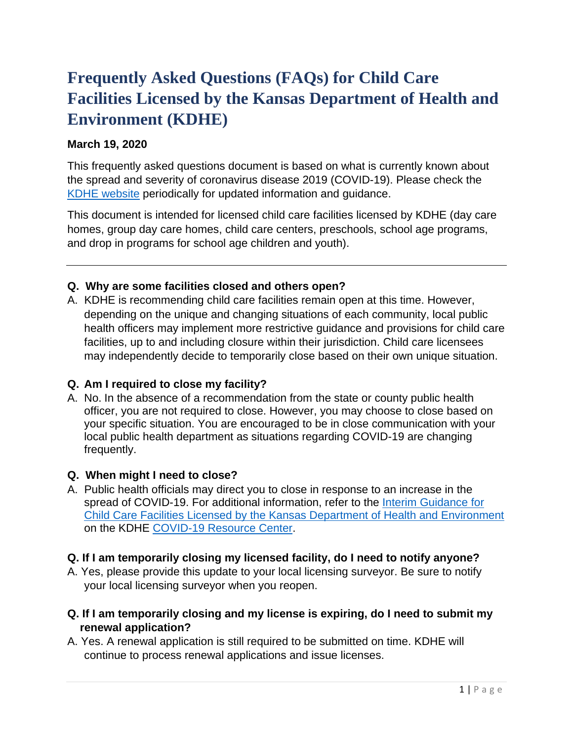# **Frequently Asked Questions (FAQs) for Child Care Facilities Licensed by the Kansas Department of Health and Environment (KDHE)**

# **March 19, 2020**

This frequently asked questions document is based on what is currently known about the spread and severity of coronavirus disease 2019 (COVID-19). Please check the [KDHE website](http://www.kdheks.gov/) periodically for updated information and guidance.

This document is intended for licensed child care facilities licensed by KDHE (day care homes, group day care homes, child care centers, preschools, school age programs, and drop in programs for school age children and youth).

# **Q. Why are some facilities closed and others open?**

A. KDHE is recommending child care facilities remain open at this time. However, depending on the unique and changing situations of each community, local public health officers may implement more restrictive guidance and provisions for child care facilities, up to and including closure within their jurisdiction. Child care licensees may independently decide to temporarily close based on their own unique situation.

# **Q. Am I required to close my facility?**

A. No. In the absence of a recommendation from the state or county public health officer, you are not required to close. However, you may choose to close based on your specific situation. You are encouraged to be in close communication with your local public health department as situations regarding COVID-19 are changing frequently.

# **Q. When might I need to close?**

A. Public health officials may direct you to close in response to an increase in the spread of COVID-19. For additional information, refer to the Interim Guidance for [Child Care Facilities Licensed by the Kansas Department of Health and Environment](http://www.kdheks.gov/coronavirus/toolkit/Interim_Guidance_for_Child_Care_Facilities_Licensed_by_KDHE.pdf) on the KDHE [COVID-19 Resource Center.](https://govstatus.egov.com/coronavirus)

#### **Q. If I am temporarily closing my licensed facility, do I need to notify anyone?**

- A. Yes, please provide this update to your local licensing surveyor. Be sure to notify your local licensing surveyor when you reopen.
- **Q. If I am temporarily closing and my license is expiring, do I need to submit my renewal application?**
- A. Yes. A renewal application is still required to be submitted on time. KDHE will continue to process renewal applications and issue licenses.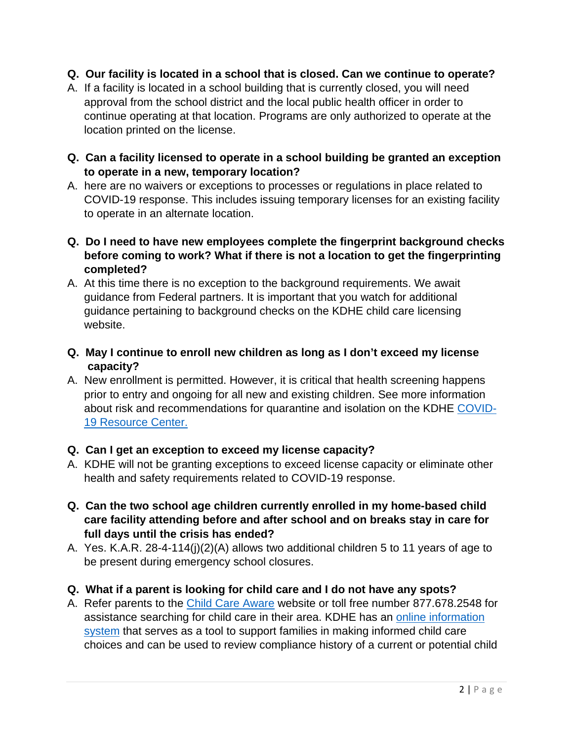### **Q. Our facility is located in a school that is closed. Can we continue to operate?**

- A. If a facility is located in a school building that is currently closed, you will need approval from the school district and the local public health officer in order to continue operating at that location. Programs are only authorized to operate at the location printed on the license.
- **Q. Can a facility licensed to operate in a school building be granted an exception to operate in a new, temporary location?**
- A. here are no waivers or exceptions to processes or regulations in place related to COVID-19 response. This includes issuing temporary licenses for an existing facility to operate in an alternate location.
- **Q. Do I need to have new employees complete the fingerprint background checks before coming to work? What if there is not a location to get the fingerprinting completed?**
- A. At this time there is no exception to the background requirements. We await guidance from Federal partners. It is important that you watch for additional guidance pertaining to background checks on the KDHE child care licensing website.
- **Q. May I continue to enroll new children as long as I don't exceed my license capacity?**
- A. New enrollment is permitted. However, it is critical that health screening happens prior to entry and ongoing for all new and existing children. See more information about risk and recommendations for quarantine and isolation on the KDHE [COVID-](https://govstatus.egov.com/coronavirus)[19 Resource Center.](https://govstatus.egov.com/coronavirus)

# **Q. Can I get an exception to exceed my license capacity?**

- A. KDHE will not be granting exceptions to exceed license capacity or eliminate other health and safety requirements related to COVID-19 response.
- **Q. Can the two school age children currently enrolled in my home-based child care facility attending before and after school and on breaks stay in care for full days until the crisis has ended?**
- A. Yes. K.A.R. 28-4-114(j)(2)(A) allows two additional children 5 to 11 years of age to be present during emergency school closures.
- **Q. What if a parent is looking for child care and I do not have any spots?**
- A. Refer parents to the [Child Care Aware](http://www.ks.childcareaware.org/) website or toll free number 877.678.2548 for assistance searching for child care in their area. KDHE has an [online information](http://www.kdheks.gov/bcclr/capp.htm)  [system](http://www.kdheks.gov/bcclr/capp.htm) that serves as a tool to support families in making informed child care choices and can be used to review compliance history of a current or potential child